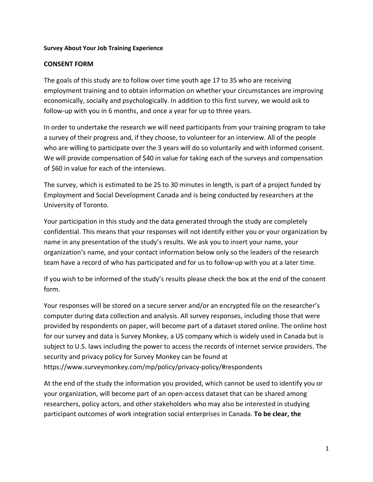## **Survey About Your Job Training Experience**

# **CONSENT FORM**

The goals of this study are to follow over time youth age 17 to 35 who are receiving employment training and to obtain information on whether your circumstances are improving economically, socially and psychologically. In addition to this first survey, we would ask to follow-up with you in 6 months, and once a year for up to three years.

In order to undertake the research we will need participants from your training program to take a survey of their progress and, if they choose, to volunteer for an interview. All of the people who are willing to participate over the 3 years will do so voluntarily and with informed consent. We will provide compensation of \$40 in value for taking each of the surveys and compensation of \$60 in value for each of the interviews.

The survey, which is estimated to be 25 to 30 minutes in length, is part of a project funded by Employment and Social Development Canada and is being conducted by researchers at the University of Toronto.

Your participation in this study and the data generated through the study are completely confidential. This means that your responses will not identify either you or your organization by name in any presentation of the study's results. We ask you to insert your name, your organization's name, and your contact information below only so the leaders of the research team have a record of who has participated and for us to follow-up with you at a later time.

If you wish to be informed of the study's results please check the box at the end of the consent form.

Your responses will be stored on a secure server and/or an encrypted file on the researcher's computer during data collection and analysis. All survey responses, including those that were provided by respondents on paper, will become part of a dataset stored online. The online host for our survey and data is Survey Monkey, a US company which is widely used in Canada but is subject to U.S. laws including the power to access the records of internet service providers. The security and privacy policy for Survey Monkey can be found at https://www.surveymonkey.com/mp/policy/privacy-policy/#respondents

At the end of the study the information you provided, which cannot be used to identify you or your organization, will become part of an open-access dataset that can be shared among researchers, policy actors, and other stakeholders who may also be interested in studying participant outcomes of work integration social enterprises in Canada. **To be clear, the**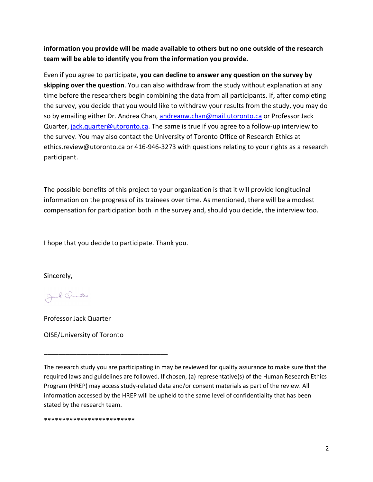**information you provide will be made available to others but no one outside of the research team will be able to identify you from the information you provide.**

Even if you agree to participate, **you can decline to answer any question on the survey by skipping over the question**. You can also withdraw from the study without explanation at any time before the researchers begin combining the data from all participants. If, after completing the survey, you decide that you would like to withdraw your results from the study, you may do so by emailing either Dr. Andrea Chan, andreanw.chan@mail.utoronto.ca or Professor Jack Quarter, jack.quarter@utoronto.ca. The same is true if you agree to a follow-up interview to the survey. You may also contact the University of Toronto Office of Research Ethics at ethics.review@utoronto.ca or 416-946-3273 with questions relating to your rights as a research participant.

The possible benefits of this project to your organization is that it will provide longitudinal information on the progress of its trainees over time. As mentioned, there will be a modest compensation for participation both in the survey and, should you decide, the interview too.

I hope that you decide to participate. Thank you.

Sincerely,

Jul Quito

Professor Jack Quarter

OISE/University of Toronto

\_\_\_\_\_\_\_\_\_\_\_\_\_\_\_\_\_\_\_\_\_\_\_\_\_\_\_\_\_\_\_\_\_\_

The research study you are participating in may be reviewed for quality assurance to make sure that the required laws and guidelines are followed. If chosen, (a) representative(s) of the Human Research Ethics Program (HREP) may access study-related data and/or consent materials as part of the review. All information accessed by the HREP will be upheld to the same level of confidentiality that has been stated by the research team.

\*\*\*\*\*\*\*\*\*\*\*\*\*\*\*\*\*\*\*\*\*\*\*\*\*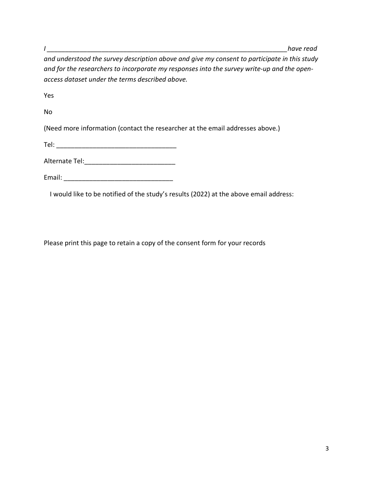*I \_\_\_\_\_\_\_\_\_\_\_\_\_\_\_\_\_\_\_\_\_\_\_\_\_\_\_\_\_\_\_\_\_\_\_\_\_\_\_\_\_\_\_\_\_\_\_\_\_\_\_\_\_\_\_\_\_\_\_\_\_\_\_\_\_\_have read* 

*and understood the survey description above and give my consent to participate in this study and for the researchers to incorporate my responses into the survey write-up and the openaccess dataset under the terms described above.*

Yes

No

(Need more information (contact the researcher at the email addresses above.)

Tel: \_\_\_\_\_\_\_\_\_\_\_\_\_\_\_\_\_\_\_\_\_\_\_\_\_\_\_\_\_\_\_\_\_

Alternate Tel:

Email: \_\_\_\_\_\_\_\_\_\_\_\_\_\_\_\_\_\_\_\_\_\_\_\_\_\_\_\_\_\_

I would like to be notified of the study's results (2022) at the above email address:

Please print this page to retain a copy of the consent form for your records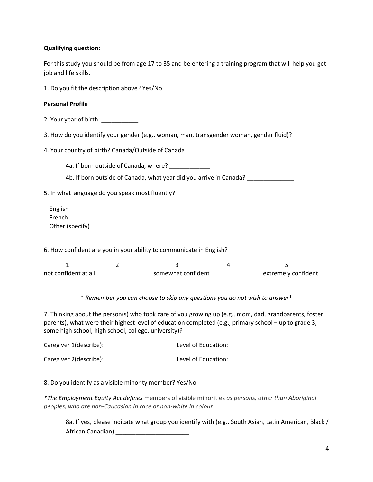## **Qualifying question:**

For this study you should be from age 17 to 35 and be entering a training program that will help you get job and life skills.

1. Do you fit the description above? Yes/No

### **Personal Profile**

2. Your year of birth: \_\_\_\_\_\_\_\_\_\_\_

3. How do you identify your gender (e.g., woman, man, transgender woman, gender fluid)? \_\_\_\_\_\_\_\_\_\_

4. Your country of birth? Canada/Outside of Canada

4a. If born outside of Canada, where? \_\_\_\_\_\_\_\_\_\_\_\_

4b. If born outside of Canada, what year did you arrive in Canada? \_\_\_\_\_\_\_\_\_\_\_\_\_

5. In what language do you speak most fluently?

 English French Other (specify)\_\_\_\_\_\_\_\_\_\_\_\_\_\_\_\_\_

6. How confident are you in your ability to communicate in English?

| not confident at all | somewhat confident | extremely confident |
|----------------------|--------------------|---------------------|

\* *Remember you can choose to skip any questions you do not wish to answer*\*

7. Thinking about the person(s) who took care of you growing up (e.g., mom, dad, grandparents, foster parents), what were their highest level of education completed (e.g., primary school – up to grade 3, some high school, high school, college, university)?

| Caregiver 1(describe): | Level of Education: |  |
|------------------------|---------------------|--|
|                        |                     |  |

Caregiver 2(describe): <br>
Level of Education:

8. Do you identify as a visible minority member? Yes/No

*\*The Employment Equity Act defines* members of visible minorities *as persons, other than Aboriginal peoples, who are non-Caucasian in race or non-white in colour*

8a. If yes, please indicate what group you identify with (e.g., South Asian, Latin American, Black / African Canadian) \_\_\_\_\_\_\_\_\_\_\_\_\_\_\_\_\_\_\_\_\_\_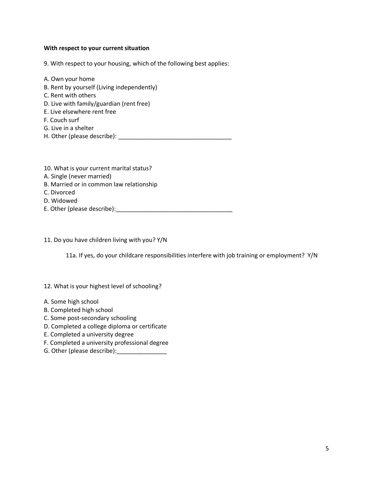#### **With respect to your current situation**

9. With respect to your housing, which of the following best applies:

- A. Own your home B. Rent by yourself (Living independently) C. Rent with others
- D. Live with family/guardian (rent free)
- E. Live elsewhere rent free
- F. Couch surf
- G. Live in a shelter
- H. Other (please describe): \_\_\_\_\_\_\_\_\_\_\_\_\_\_\_\_\_\_\_\_\_\_\_\_\_\_\_\_\_\_\_\_\_\_
- 10. What is your current marital status?
- A. Single (never married)
- B. Married or in common law relationship
- C. Divorced
- D. Widowed
- E. Other (please describe):\_\_\_\_\_\_\_\_\_\_\_\_\_\_\_\_\_\_\_\_\_\_\_\_\_\_\_\_\_\_\_\_\_\_\_

11. Do you have children living with you? Y/N

11a. If yes, do your childcare responsibilities interfere with job training or employment? Y/N

12. What is your highest level of schooling?

- A. Some high school
- B. Completed high school
- C. Some post-secondary schooling
- D. Completed a college diploma or certificate
- E. Completed a university degree
- F. Completed a university professional degree
- G. Other (please describe):\_\_\_\_\_\_\_\_\_\_\_\_\_\_\_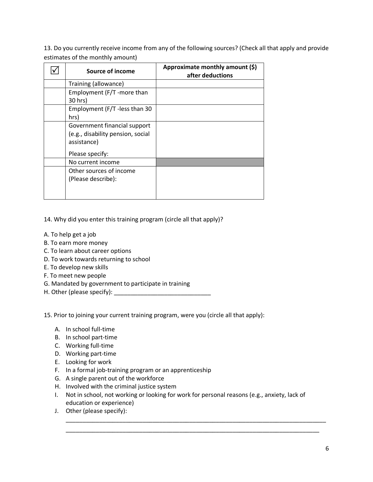13. Do you currently receive income from any of the following sources? (Check all that apply and provide estimates of the monthly amount)

| Source of income                  | Approximate monthly amount (\$)<br>after deductions |
|-----------------------------------|-----------------------------------------------------|
| Training (allowance)              |                                                     |
| Employment (F/T -more than        |                                                     |
| 30 hrs)                           |                                                     |
| Employment (F/T -less than 30     |                                                     |
| hrs)                              |                                                     |
| Government financial support      |                                                     |
| (e.g., disability pension, social |                                                     |
| assistance)                       |                                                     |
| Please specify:                   |                                                     |
| No current income                 |                                                     |
| Other sources of income           |                                                     |
| (Please describe):                |                                                     |
|                                   |                                                     |
|                                   |                                                     |

14. Why did you enter this training program (circle all that apply)?

- A. To help get a job
- B. To earn more money
- C. To learn about career options
- D. To work towards returning to school
- E. To develop new skills
- F. To meet new people
- G. Mandated by government to participate in training
- H. Other (please specify): \_\_\_\_\_\_\_\_\_\_\_\_\_\_\_\_\_\_\_\_\_\_\_\_\_\_\_\_\_

15. Prior to joining your current training program, were you (circle all that apply):

- A. In school full-time
- B. In school part-time
- C. Working full-time
- D. Working part-time
- E. Looking for work
- F. In a formal job-training program or an apprenticeship
- G. A single parent out of the workforce
- H. Involved with the criminal justice system
- I. Not in school, not working or looking for work for personal reasons (e.g., anxiety, lack of education or experience)

\_\_\_\_\_\_\_\_\_\_\_\_\_\_\_\_\_\_\_\_\_\_\_\_\_\_\_\_\_\_\_\_\_\_\_\_\_\_\_\_\_\_\_\_\_\_\_\_\_\_\_\_\_\_\_\_\_\_\_\_\_\_\_\_\_\_\_\_\_\_\_\_\_\_\_\_\_\_ \_\_\_\_\_\_\_\_\_\_\_\_\_\_\_\_\_\_\_\_\_\_\_\_\_\_\_\_\_\_\_\_\_\_\_\_\_\_\_\_\_\_\_\_\_\_\_\_\_\_\_\_\_\_\_\_\_\_\_\_\_\_\_\_\_\_\_\_\_\_\_\_\_\_\_\_

J. Other (please specify):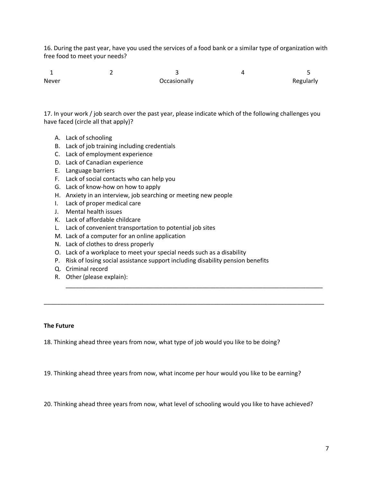16. During the past year, have you used the services of a food bank or a similar type of organization with free food to meet your needs?

| Never | Occasionally | Regularly |
|-------|--------------|-----------|

17. In your work / job search over the past year, please indicate which of the following challenges you have faced (circle all that apply)?

- A. Lack of schooling
- B. Lack of job training including credentials
- C. Lack of employment experience
- D. Lack of Canadian experience
- E. Language barriers
- F. Lack of social contacts who can help you
- G. Lack of know-how on how to apply
- H. Anxiety in an interview, job searching or meeting new people
- I. Lack of proper medical care
- J. Mental health issues
- K. Lack of affordable childcare
- L. Lack of convenient transportation to potential job sites
- M. Lack of a computer for an online application
- N. Lack of clothes to dress properly
- O. Lack of a workplace to meet your special needs such as a disability
- P. Risk of losing social assistance support including disability pension benefits

\_\_\_\_\_\_\_\_\_\_\_\_\_\_\_\_\_\_\_\_\_\_\_\_\_\_\_\_\_\_\_\_\_\_\_\_\_\_\_\_\_\_\_\_\_\_\_\_\_\_\_\_\_\_\_\_\_\_\_\_\_\_\_\_\_\_\_\_\_\_\_\_\_\_\_\_\_

\_\_\_\_\_\_\_\_\_\_\_\_\_\_\_\_\_\_\_\_\_\_\_\_\_\_\_\_\_\_\_\_\_\_\_\_\_\_\_\_\_\_\_\_\_\_\_\_\_\_\_\_\_\_\_\_\_\_\_\_\_\_\_\_\_\_\_\_\_\_\_\_\_\_\_\_\_\_\_\_\_\_\_\_

- Q. Criminal record
- R. Other (please explain):

### **The Future**

18. Thinking ahead three years from now, what type of job would you like to be doing?

19. Thinking ahead three years from now, what income per hour would you like to be earning?

20. Thinking ahead three years from now, what level of schooling would you like to have achieved?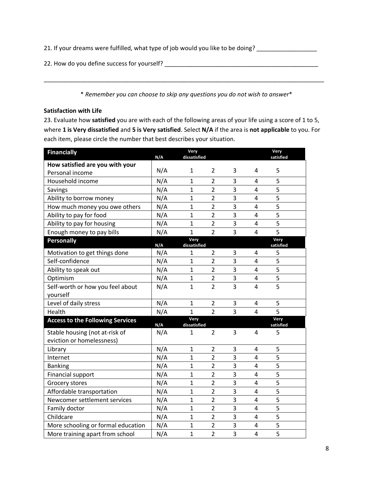21. If your dreams were fulfilled, what type of job would you like to be doing? \_\_\_\_\_\_\_\_\_\_\_\_\_\_\_\_\_\_\_

22. How do you define success for yourself?

\* *Remember you can choose to skip any questions you do not wish to answer*\*

\_\_\_\_\_\_\_\_\_\_\_\_\_\_\_\_\_\_\_\_\_\_\_\_\_\_\_\_\_\_\_\_\_\_\_\_\_\_\_\_\_\_\_\_\_\_\_\_\_\_\_\_\_\_\_\_\_\_\_\_\_\_\_\_\_\_\_\_\_\_\_\_\_\_\_\_\_\_\_\_\_\_\_\_

# **Satisfaction with Life**

23. Evaluate how **satisfied** you are with each of the following areas of your life using a score of 1 to 5, where **1 is Very dissatisfied** and **5 is Very satisfied**. Select **N/A** if the area is **not applicable** to you. For each item, please circle the number that best describes your situation.

| <b>Financially</b>                      | N/A | Very<br>dissatisfied |                |   |                | Very<br>satisfied |
|-----------------------------------------|-----|----------------------|----------------|---|----------------|-------------------|
| How satisfied are you with your         |     |                      |                |   |                |                   |
| Personal income                         | N/A | 1                    | 2              | 3 | 4              | 5                 |
| Household income                        | N/A | 1                    | $\overline{2}$ | 3 | 4              | 5                 |
| Savings                                 | N/A | $\mathbf{1}$         | $\overline{2}$ | 3 | 4              | 5                 |
| Ability to borrow money                 | N/A | $\mathbf{1}$         | $\overline{2}$ | 3 | $\overline{4}$ | 5                 |
| How much money you owe others           | N/A | $\mathbf{1}$         | $\overline{2}$ | 3 | 4              | 5                 |
| Ability to pay for food                 | N/A | $\mathbf{1}$         | $\overline{2}$ | 3 | 4              | 5                 |
| Ability to pay for housing              | N/A | $\mathbf{1}$         | $\overline{2}$ | 3 | 4              | 5                 |
| Enough money to pay bills               | N/A | $\mathbf{1}$         | $\overline{2}$ | 3 | 4              | 5                 |
| <b>Personally</b>                       | N/A | Very<br>dissatisfied |                |   |                | Very<br>satisfied |
| Motivation to get things done           | N/A | 1                    | $\overline{2}$ | 3 | 4              | 5                 |
| Self-confidence                         | N/A | $\mathbf{1}$         | $\overline{2}$ | 3 | 4              | 5                 |
| Ability to speak out                    | N/A | $\mathbf{1}$         | $\overline{2}$ | 3 | 4              | 5                 |
| Optimism                                | N/A | $\mathbf{1}$         | $\overline{2}$ | 3 | 4              | 5                 |
| Self-worth or how you feel about        | N/A | $\mathbf{1}$         | $\overline{2}$ | 3 | $\overline{4}$ | 5                 |
| yourself                                |     |                      |                |   |                |                   |
| Level of daily stress                   | N/A | $\mathbf{1}$         | $\overline{2}$ | 3 | 4              | 5                 |
| Health                                  | N/A | $\mathbf{1}$         | $\overline{2}$ | 3 | 4              | 5                 |
| <b>Access to the Following Services</b> | N/A | Very<br>dissatisfied |                |   |                | Very<br>satisfied |
| Stable housing (not at-risk of          | N/A | 1                    | $\overline{2}$ | 3 | 4              | 5                 |
| eviction or homelessness)               |     |                      |                |   |                |                   |
| Library                                 | N/A | $\mathbf{1}$         | $\overline{2}$ | 3 | 4              | 5                 |
| Internet                                | N/A | $\mathbf{1}$         | $\overline{2}$ | 3 | 4              | 5                 |
| <b>Banking</b>                          | N/A | $\mathbf{1}$         | $\overline{2}$ | 3 | 4              | 5                 |
| <b>Financial support</b>                | N/A | $\mathbf{1}$         | $\overline{2}$ | 3 | $\overline{4}$ | 5                 |
| Grocery stores                          | N/A | $\mathbf{1}$         | $\overline{2}$ | 3 | 4              | 5                 |
| Affordable transportation               | N/A | $\mathbf{1}$         | $\overline{2}$ | 3 | 4              | 5                 |
| Newcomer settlement services            | N/A | $\mathbf{1}$         | $\overline{2}$ | 3 | $\overline{4}$ | 5                 |
| Family doctor                           | N/A | $\mathbf{1}$         | $\overline{2}$ | 3 | $\overline{4}$ | 5                 |
| Childcare                               | N/A | $\mathbf{1}$         | $\overline{2}$ | 3 | 4              | 5                 |
| More schooling or formal education      | N/A | 1                    | $\overline{2}$ | 3 | 4              | 5                 |
| More training apart from school         | N/A | $\mathbf{1}$         | $\overline{2}$ | 3 | 4              | 5                 |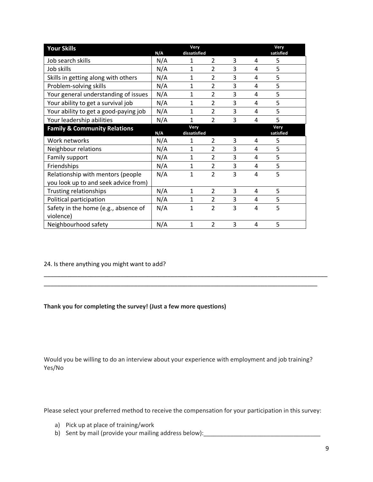| <b>Your Skills</b>                      | N/A | Very<br>dissatisfied |                          |   |   | Very<br>satisfied |
|-----------------------------------------|-----|----------------------|--------------------------|---|---|-------------------|
| Job search skills                       | N/A | $\mathbf{1}$         | $\overline{2}$           | 3 | 4 | 5                 |
| Job skills                              | N/A | 1                    | $\overline{2}$           | 3 | 4 | 5                 |
| Skills in getting along with others     | N/A | 1                    | 2                        | 3 | 4 | 5                 |
| Problem-solving skills                  | N/A | 1                    | 2                        | 3 | 4 | 5                 |
| Your general understanding of issues    | N/A | 1                    | $\overline{\mathcal{L}}$ | 3 | 4 | 5                 |
| Your ability to get a survival job      | N/A | 1                    | 2                        | 3 | 4 | 5                 |
| Your ability to get a good-paying job   | N/A | 1                    | $\overline{2}$           | 3 | 4 | 5                 |
| Your leadership abilities               | N/A | 1                    | $\overline{\mathcal{L}}$ | 3 | 4 | 5                 |
| <b>Family &amp; Community Relations</b> | N/A | Very<br>dissatisfied |                          |   |   | Very<br>satisfied |
| Work networks                           | N/A | 1                    | $\overline{2}$           | 3 | 4 | 5                 |
| Neighbour relations                     | N/A | 1                    | $\overline{2}$           | 3 | 4 | 5                 |
| Family support                          | N/A | 1                    | $\overline{2}$           | 3 | 4 | 5                 |
| Friendships                             | N/A | 1                    | $\overline{2}$           | 3 | 4 | 5                 |
| Relationship with mentors (people       | N/A | 1                    | 2                        | 3 | 4 | 5                 |
| you look up to and seek advice from)    |     |                      |                          |   |   |                   |
| Trusting relationships                  | N/A | 1                    | $\overline{2}$           | 3 | 4 | 5                 |
| Political participation                 | N/A | 1                    | $\overline{2}$           | 3 | 4 | 5                 |
| Safety in the home (e.g., absence of    | N/A | 1                    | $\overline{2}$           | 3 | 4 | 5                 |
| violence)                               |     |                      |                          |   |   |                   |
| Neighbourhood safety                    | N/A | 1                    | $\overline{2}$           | 3 | 4 | 5                 |

24. Is there anything you might want to add?

# **Thank you for completing the survey! (Just a few more questions)**

Would you be willing to do an interview about your experience with employment and job training? Yes/No

Please select your preferred method to receive the compensation for your participation in this survey:

- a) Pick up at place of training/work
- b) Sent by mail (provide your mailing address below): \_\_\_\_\_\_\_\_\_\_\_\_\_\_\_\_\_\_\_\_\_\_\_\_\_\_